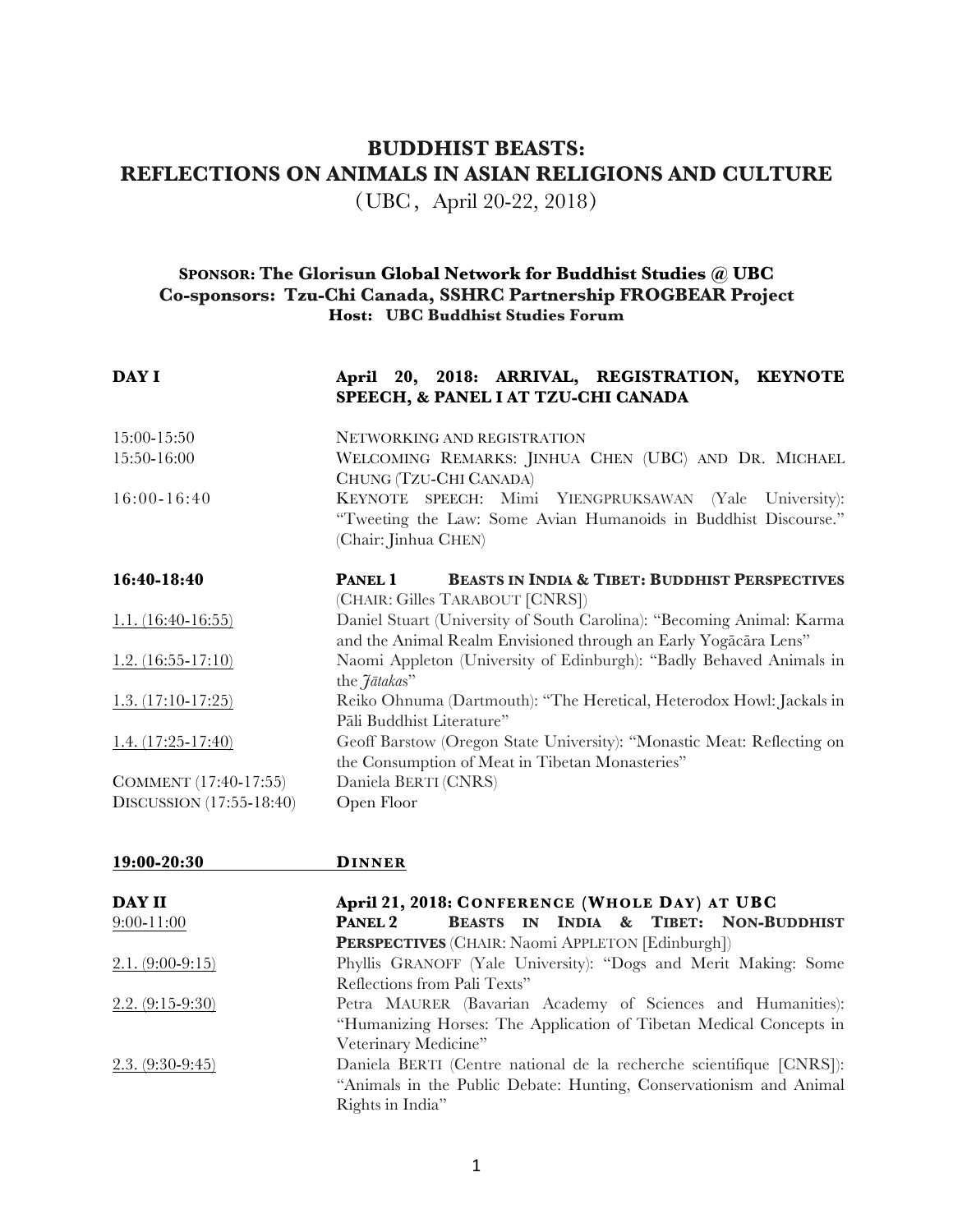## **BUDDHIST BEASTS: REFLECTIONS ON ANIMALS IN ASIAN RELIGIONS AND CULTURE**

(UBC, April 20-22, 2018)

## **SPONSOR: The Glorisun Global Network for Buddhist Studies @ UBC Co-sponsors: Tzu-Chi Canada, SSHRC Partnership FROGBEAR Project Host: UBC Buddhist Studies Forum**

| DAY I                    | April 20, 2018: ARRIVAL, REGISTRATION, KEYNOTE<br>SPEECH, & PANEL I AT TZU-CHI CANADA                                                             |  |  |  |  |  |  |  |
|--------------------------|---------------------------------------------------------------------------------------------------------------------------------------------------|--|--|--|--|--|--|--|
| 15:00-15:50              | NETWORKING AND REGISTRATION                                                                                                                       |  |  |  |  |  |  |  |
| 15:50-16:00              | WELCOMING REMARKS: JINHUA CHEN (UBC) AND DR. MICHAEL<br>CHUNG (TZU-CHI CANADA)                                                                    |  |  |  |  |  |  |  |
| $16:00 - 16:40$          | KEYNOTE SPEECH: Mimi YIENGPRUKSAWAN (Yale University):<br>"Tweeting the Law: Some Avian Humanoids in Buddhist Discourse."<br>(Chair: Jinhua CHEN) |  |  |  |  |  |  |  |
| 16:40-18:40              | <b>BEASTS IN INDIA &amp; TIBET: BUDDHIST PERSPECTIVES</b><br>PANEL 1<br>(CHAIR: Gilles TARABOUT [CNRS])                                           |  |  |  |  |  |  |  |
| $1.1. (16:40-16:55)$     | Daniel Stuart (University of South Carolina): "Becoming Animal: Karma<br>and the Animal Realm Envisioned through an Early Yogacara Lens"          |  |  |  |  |  |  |  |
| $1.2. (16:55-17:10)$     | Naomi Appleton (University of Edinburgh): "Badly Behaved Animals in<br>the <i>Jātakas</i> "                                                       |  |  |  |  |  |  |  |
| $1.3. (17:10-17:25)$     | Reiko Ohnuma (Dartmouth): "The Heretical, Heterodox Howl: Jackals in<br>Pāli Buddhist Literature"                                                 |  |  |  |  |  |  |  |
| $1.4. (17:25-17:40)$     | Geoff Barstow (Oregon State University): "Monastic Meat: Reflecting on<br>the Consumption of Meat in Tibetan Monasteries"                         |  |  |  |  |  |  |  |
| COMMENT (17:40-17:55)    | Daniela BERTI (CNRS)                                                                                                                              |  |  |  |  |  |  |  |
| DISCUSSION (17:55-18:40) | Open Floor                                                                                                                                        |  |  |  |  |  |  |  |

| 19:00-20:30        | <b>DINNER</b>                                                        |  |  |  |  |  |  |
|--------------------|----------------------------------------------------------------------|--|--|--|--|--|--|
| DAY II             | April 21, 2018: CONFERENCE (WHOLE DAY) AT UBC                        |  |  |  |  |  |  |
| $9:00-11:00$       | BEASTS IN INDIA & TIBET: NON-BUDDHIST<br>PANEL 2                     |  |  |  |  |  |  |
|                    | <b>PERSPECTIVES</b> (CHAIR: Naomi APPLETON [Edinburgh])              |  |  |  |  |  |  |
| $2.1. (9:00-9:15)$ | Phyllis GRANOFF (Yale University): "Dogs and Merit Making: Some      |  |  |  |  |  |  |
|                    | Reflections from Pali Texts"                                         |  |  |  |  |  |  |
| $2.2. (9:15-9:30)$ | Petra MAURER (Bavarian Academy of Sciences and Humanities):          |  |  |  |  |  |  |
|                    | "Humanizing Horses: The Application of Tibetan Medical Concepts in   |  |  |  |  |  |  |
|                    | Veterinary Medicine"                                                 |  |  |  |  |  |  |
| $2.3. (9:30-9:45)$ | Daniela BERTI (Centre national de la recherche scientifique [CNRS]): |  |  |  |  |  |  |
|                    | "Animals in the Public Debate: Hunting, Conservationism and Animal   |  |  |  |  |  |  |
|                    | Rights in India"                                                     |  |  |  |  |  |  |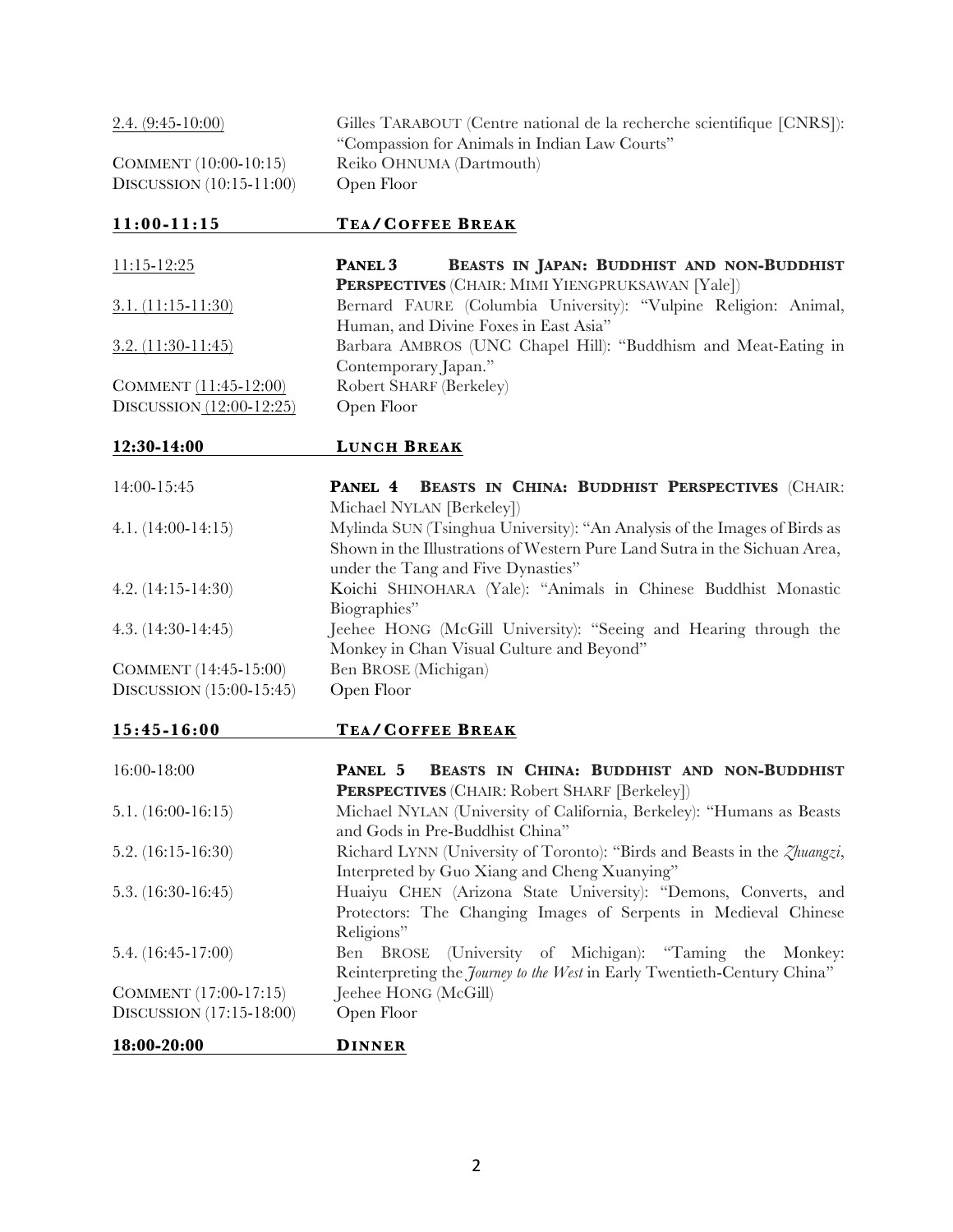| $2.4. (9:45-10:00)$        | Gilles TARABOUT (Centre national de la recherche scientifique [CNRS]):<br>"Compassion for Animals in Indian Law Courts"                                                                       |
|----------------------------|-----------------------------------------------------------------------------------------------------------------------------------------------------------------------------------------------|
| COMMENT (10:00-10:15)      | Reiko OHNUMA (Dartmouth)                                                                                                                                                                      |
| DISCUSSION (10:15-11:00)   | Open Floor                                                                                                                                                                                    |
|                            |                                                                                                                                                                                               |
| $11:00-11:15$              | <b>TEA/COFFEE BREAK</b>                                                                                                                                                                       |
| $11:15 - 12:25$            | BEASTS IN JAPAN: BUDDHIST AND NON-BUDDHIST<br>PANEL 3<br>PERSPECTIVES (CHAIR: MIMI YIENGPRUKSAWAN [Yale])                                                                                     |
| $3.1. (11:15-11:30)$       | Bernard FAURE (Columbia University): "Vulpine Religion: Animal,<br>Human, and Divine Foxes in East Asia"                                                                                      |
| $3.2. (11:30-11:45)$       | Barbara AMBROS (UNC Chapel Hill): "Buddhism and Meat-Eating in<br>Contemporary Japan."                                                                                                        |
| COMMENT (11:45-12:00)      | Robert SHARF (Berkeley)                                                                                                                                                                       |
| DISCUSSION $(12:00-12:25)$ | Open Floor                                                                                                                                                                                    |
|                            |                                                                                                                                                                                               |
| 12:30-14:00                | <b>LUNCH BREAK</b>                                                                                                                                                                            |
| 14:00-15:45                | PANEL 4 BEASTS IN CHINA: BUDDHIST PERSPECTIVES (CHAIR:<br>Michael NYLAN [Berkeley])                                                                                                           |
| $4.1. (14:00-14:15)$       | Mylinda SUN (Tsinghua University): "An Analysis of the Images of Birds as<br>Shown in the Illustrations of Western Pure Land Sutra in the Sichuan Area,<br>under the Tang and Five Dynasties" |
| 4.2. $(14:15-14:30)$       | Koichi SHINOHARA (Yale): "Animals in Chinese Buddhist Monastic<br>Biographies"                                                                                                                |
| $4.3. (14:30-14:45)$       | Jeehee HONG (McGill University): "Seeing and Hearing through the<br>Monkey in Chan Visual Culture and Beyond"                                                                                 |
| COMMENT (14:45-15:00)      | Ben BROSE (Michigan)                                                                                                                                                                          |
| DISCUSSION (15:00-15:45)   | Open Floor                                                                                                                                                                                    |
|                            |                                                                                                                                                                                               |
| $15:45 - 16:00$            | <b>TEA/COFFEE BREAK</b>                                                                                                                                                                       |
| 16:00-18:00                | PANEL 5<br>BEASTS IN CHINA: BUDDHIST AND NON-BUDDHIST<br>PERSPECTIVES (CHAIR: Robert SHARF [Berkeley])                                                                                        |
| $5.1. (16:00-16:15)$       | Michael NYLAN (University of California, Berkeley): "Humans as Beasts<br>and Gods in Pre-Buddhist China"                                                                                      |
| 5.2. $(16:15-16:30)$       | Richard LYNN (University of Toronto): "Birds and Beasts in the <i>Zhuangzi</i> ,<br>Interpreted by Guo Xiang and Cheng Xuanying"                                                              |
| 5.3. $(16:30-16:45)$       | Huaiyu CHEN (Arizona State University): "Demons, Converts, and<br>Protectors: The Changing Images of Serpents in Medieval Chinese<br>Religions"                                               |

5.4. (16:45-17:00) Ben BROSE (University of Michigan): "Taming the Monkey: Reinterpreting the *Journey to the West* in Early Twentieth-Century China"  $COMMENT (17:00-17:15)$  Jeehee HON<br>DISCUSSION  $(17:15-18:00)$  Open Floor DISCUSSION  $(17:15-18:00)$ 

**18:00-20:00 DINNER**